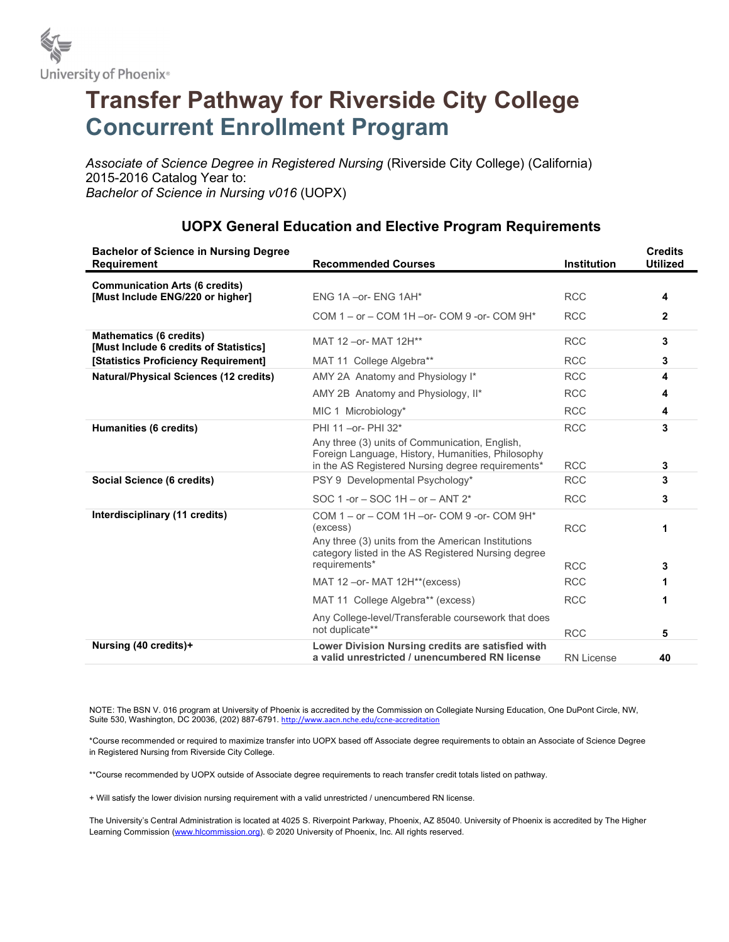

## Transfer Pathway for Riverside City College Concurrent Enrollment Program

Associate of Science Degree in Registered Nursing (Riverside City College) (California) 2015-2016 Catalog Year to: Bachelor of Science in Nursing v016 (UOPX)

| <b>Bachelor of Science in Nursing Degree</b><br><b>Requirement</b>       | <b>Recommended Courses</b>                                                                                                                                               | <b>Institution</b> | <b>Credits</b><br><b>Utilized</b> |
|--------------------------------------------------------------------------|--------------------------------------------------------------------------------------------------------------------------------------------------------------------------|--------------------|-----------------------------------|
| <b>Communication Arts (6 credits)</b>                                    | ENG 1A - or - ENG 1AH*                                                                                                                                                   | <b>RCC</b>         | 4                                 |
| [Must Include ENG/220 or higher]                                         |                                                                                                                                                                          |                    |                                   |
|                                                                          | COM $1 -$ or $-$ COM $1H -$ or- COM $9$ -or- COM $9H^*$                                                                                                                  | <b>RCC</b>         | $\mathbf{2}$                      |
| <b>Mathematics (6 credits)</b><br>[Must Include 6 credits of Statistics] | MAT 12 - or - MAT 12H**                                                                                                                                                  | <b>RCC</b>         | 3                                 |
| [Statistics Proficiency Requirement]                                     | MAT 11 College Algebra**                                                                                                                                                 | <b>RCC</b>         | 3                                 |
| <b>Natural/Physical Sciences (12 credits)</b>                            | AMY 2A Anatomy and Physiology I*                                                                                                                                         | <b>RCC</b>         | 4                                 |
|                                                                          | AMY 2B Anatomy and Physiology, II*                                                                                                                                       | <b>RCC</b>         | 4                                 |
|                                                                          | MIC 1 Microbiology*                                                                                                                                                      | <b>RCC</b>         | 4                                 |
| Humanities (6 credits)                                                   | PHI 11 - or - PHI 32*                                                                                                                                                    | <b>RCC</b>         | 3                                 |
|                                                                          | Any three (3) units of Communication, English,<br>Foreign Language, History, Humanities, Philosophy<br>in the AS Registered Nursing degree requirements*                 | <b>RCC</b>         | 3                                 |
| Social Science (6 credits)                                               | PSY 9 Developmental Psychology*                                                                                                                                          | <b>RCC</b>         | 3                                 |
|                                                                          | SOC 1 -or $-$ SOC 1H $-$ or $-$ ANT $2^*$                                                                                                                                | <b>RCC</b>         | 3                                 |
| Interdisciplinary (11 credits)                                           | COM 1 - or - COM 1H - or - COM 9 - or - COM 9H*<br>(excess)<br>Any three (3) units from the American Institutions<br>category listed in the AS Registered Nursing degree | <b>RCC</b>         | 1                                 |
|                                                                          | requirements*                                                                                                                                                            | <b>RCC</b>         | 3                                 |
|                                                                          | MAT 12-or-MAT 12H**(excess)                                                                                                                                              | <b>RCC</b>         | 1                                 |
|                                                                          | MAT 11 College Algebra** (excess)                                                                                                                                        | <b>RCC</b>         |                                   |
|                                                                          | Any College-level/Transferable coursework that does<br>not duplicate**                                                                                                   | <b>RCC</b>         | 5                                 |
| Nursing (40 credits)+                                                    | Lower Division Nursing credits are satisfied with<br>a valid unrestricted / unencumbered RN license                                                                      | <b>RN License</b>  | 40                                |

## UOPX General Education and Elective Program Requirements

NOTE: The BSN V. 016 program at University of Phoenix is accredited by the Commission on Collegiate Nursing Education, One DuPont Circle, NW, Suite 530, Washington, DC 20036, (202) 887-6791. http://www.aacn.nche.edu/ccne-accreditation

\*Course recommended or required to maximize transfer into UOPX based off Associate degree requirements to obtain an Associate of Science Degree in Registered Nursing from Riverside City College.

\*\*Course recommended by UOPX outside of Associate degree requirements to reach transfer credit totals listed on pathway.

+ Will satisfy the lower division nursing requirement with a valid unrestricted / unencumbered RN license.

The University's Central Administration is located at 4025 S. Riverpoint Parkway, Phoenix, AZ 85040. University of Phoenix is accredited by The Higher Learning Commission (www.hlcommission.org). © 2020 University of Phoenix, Inc. All rights reserved.